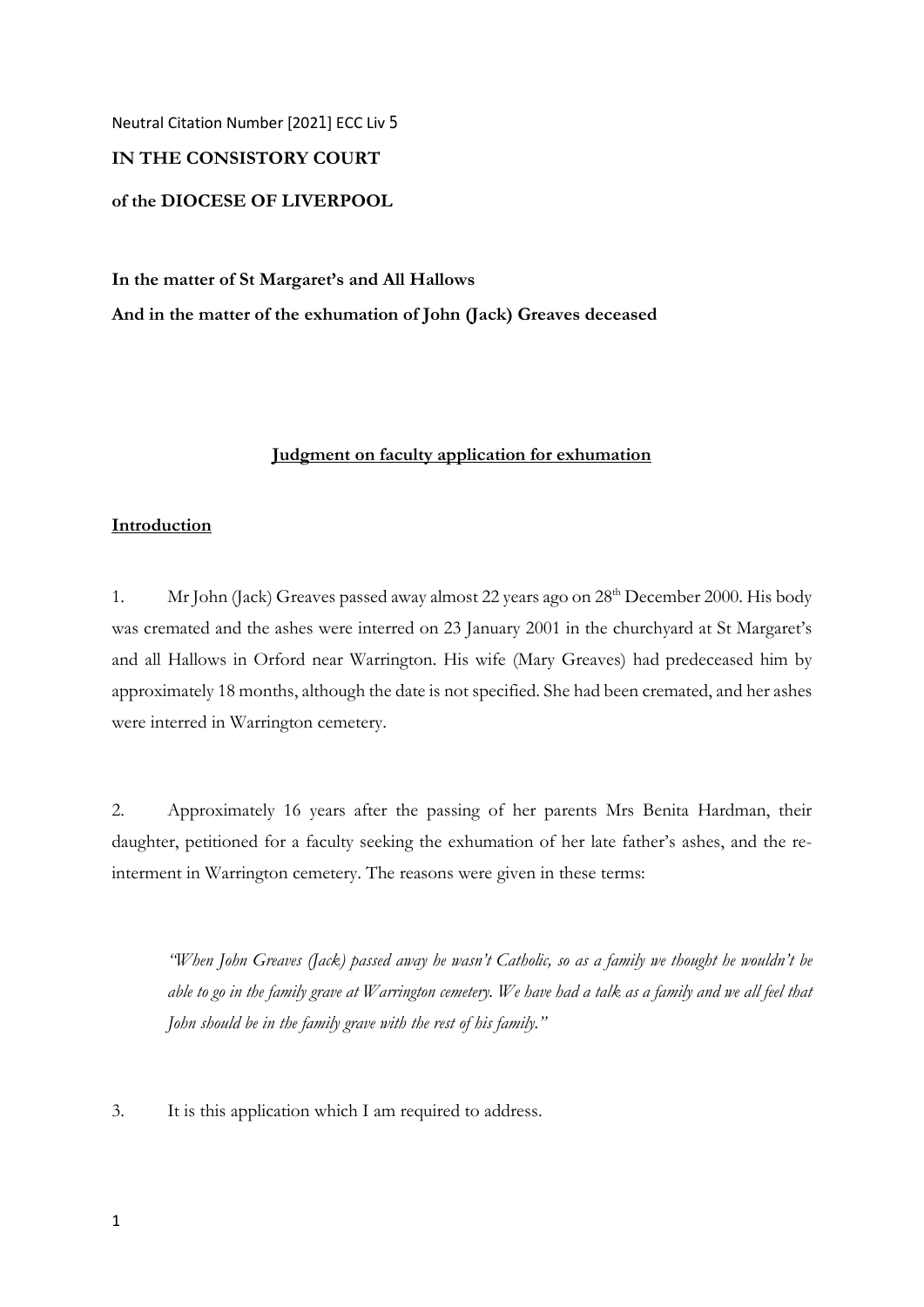Neutral Citation Number [2021] ECC Liv 5

# **IN THE CONSISTORY COURT**

# **of the DIOCESE OF LIVERPOOL**

**In the matter of St Margaret's and All Hallows And in the matter of the exhumation of John (Jack) Greaves deceased** 

## **Judgment on faculty application for exhumation**

## **Introduction**

1. Mr John (Jack) Greaves passed away almost 22 years ago on 28<sup>th</sup> December 2000. His body was cremated and the ashes were interred on 23 January 2001 in the churchyard at St Margaret's and all Hallows in Orford near Warrington. His wife (Mary Greaves) had predeceased him by approximately 18 months, although the date is not specified. She had been cremated, and her ashes were interred in Warrington cemetery.

2. Approximately 16 years after the passing of her parents Mrs Benita Hardman, their daughter, petitioned for a faculty seeking the exhumation of her late father's ashes, and the reinterment in Warrington cemetery. The reasons were given in these terms:

*"When John Greaves (Jack) passed away he wasn't Catholic, so as a family we thought he wouldn't be able to go in the family grave at Warrington cemetery. We have had a talk as a family and we all feel that John should be in the family grave with the rest of his family."* 

3. It is this application which I am required to address.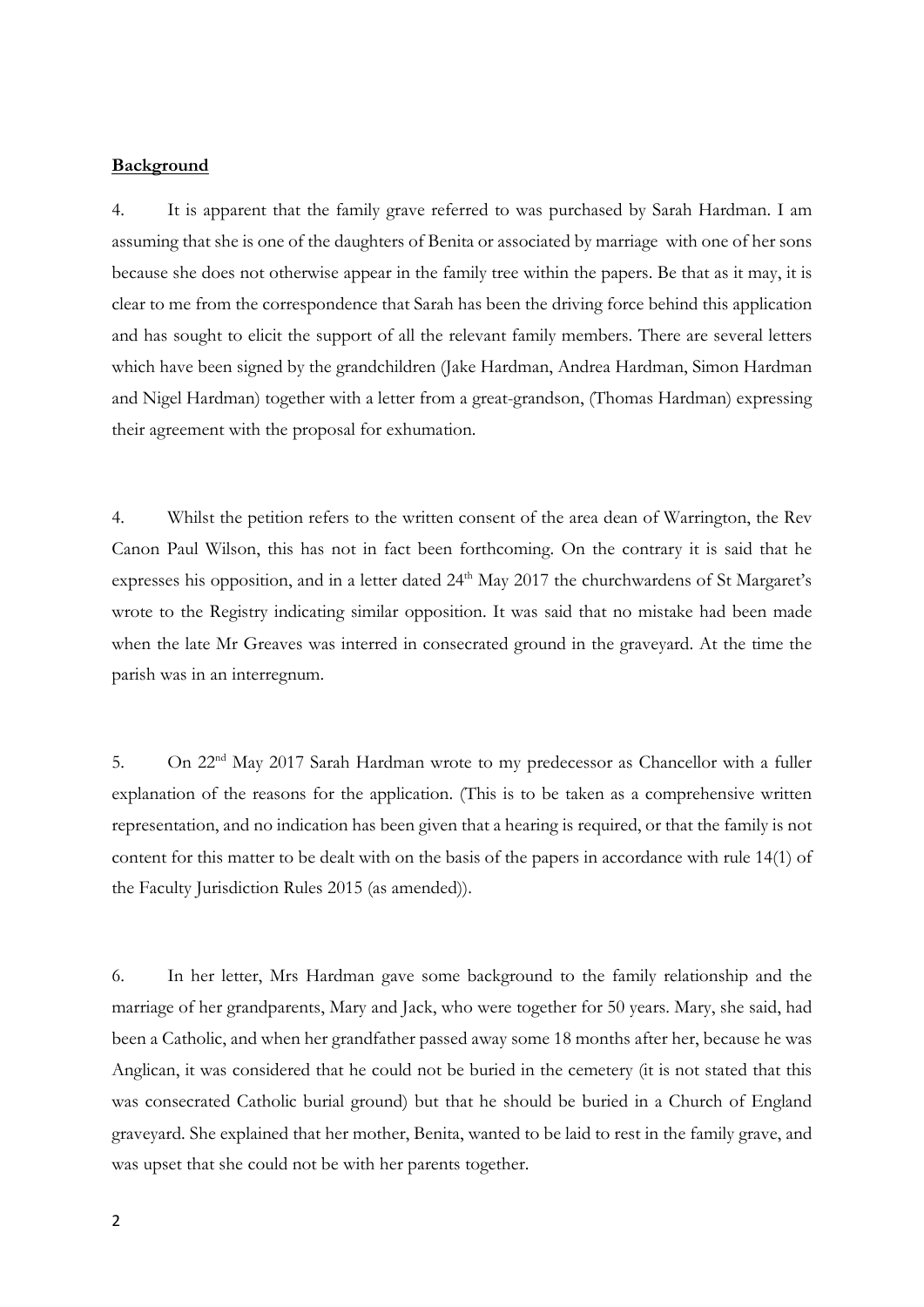#### **Background**

4. It is apparent that the family grave referred to was purchased by Sarah Hardman. I am assuming that she is one of the daughters of Benita or associated by marriage with one of her sons because she does not otherwise appear in the family tree within the papers. Be that as it may, it is clear to me from the correspondence that Sarah has been the driving force behind this application and has sought to elicit the support of all the relevant family members. There are several letters which have been signed by the grandchildren (Jake Hardman, Andrea Hardman, Simon Hardman and Nigel Hardman) together with a letter from a great-grandson, (Thomas Hardman) expressing their agreement with the proposal for exhumation.

4. Whilst the petition refers to the written consent of the area dean of Warrington, the Rev Canon Paul Wilson, this has not in fact been forthcoming. On the contrary it is said that he expresses his opposition, and in a letter dated 24<sup>th</sup> May 2017 the churchwardens of St Margaret's wrote to the Registry indicating similar opposition. It was said that no mistake had been made when the late Mr Greaves was interred in consecrated ground in the graveyard. At the time the parish was in an interregnum.

5. On 22nd May 2017 Sarah Hardman wrote to my predecessor as Chancellor with a fuller explanation of the reasons for the application. (This is to be taken as a comprehensive written representation, and no indication has been given that a hearing is required, or that the family is not content for this matter to be dealt with on the basis of the papers in accordance with rule 14(1) of the Faculty Jurisdiction Rules 2015 (as amended)).

6. In her letter, Mrs Hardman gave some background to the family relationship and the marriage of her grandparents, Mary and Jack, who were together for 50 years. Mary, she said, had been a Catholic, and when her grandfather passed away some 18 months after her, because he was Anglican, it was considered that he could not be buried in the cemetery (it is not stated that this was consecrated Catholic burial ground) but that he should be buried in a Church of England graveyard. She explained that her mother, Benita, wanted to be laid to rest in the family grave, and was upset that she could not be with her parents together.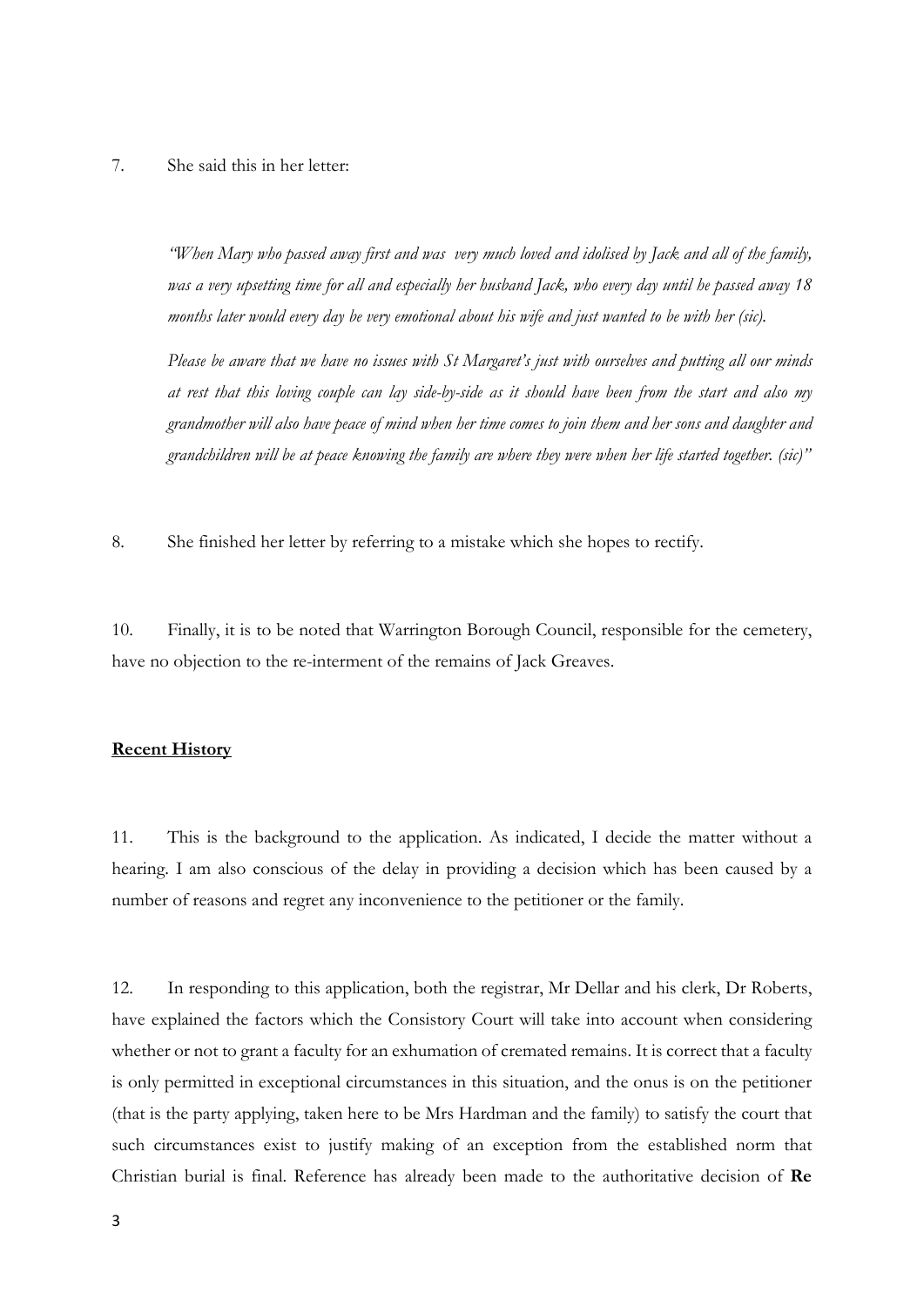### 7. She said this in her letter:

*"When Mary who passed away first and was very much loved and idolised by Jack and all of the family, was a very upsetting time for all and especially her husband Jack, who every day until he passed away 18 months later would every day be very emotional about his wife and just wanted to be with her (sic).* 

*Please be aware that we have no issues with St Margaret's just with ourselves and putting all our minds at rest that this loving couple can lay side-by-side as it should have been from the start and also my grandmother will also have peace of mind when her time comes to join them and her sons and daughter and grandchildren will be at peace knowing the family are where they were when her life started together. (sic)"*

8. She finished her letter by referring to a mistake which she hopes to rectify.

10. Finally, it is to be noted that Warrington Borough Council, responsible for the cemetery, have no objection to the re-interment of the remains of Jack Greaves.

#### **Recent History**

11. This is the background to the application. As indicated, I decide the matter without a hearing. I am also conscious of the delay in providing a decision which has been caused by a number of reasons and regret any inconvenience to the petitioner or the family.

12. In responding to this application, both the registrar, Mr Dellar and his clerk, Dr Roberts, have explained the factors which the Consistory Court will take into account when considering whether or not to grant a faculty for an exhumation of cremated remains. It is correct that a faculty is only permitted in exceptional circumstances in this situation, and the onus is on the petitioner (that is the party applying, taken here to be Mrs Hardman and the family) to satisfy the court that such circumstances exist to justify making of an exception from the established norm that Christian burial is final. Reference has already been made to the authoritative decision of **Re**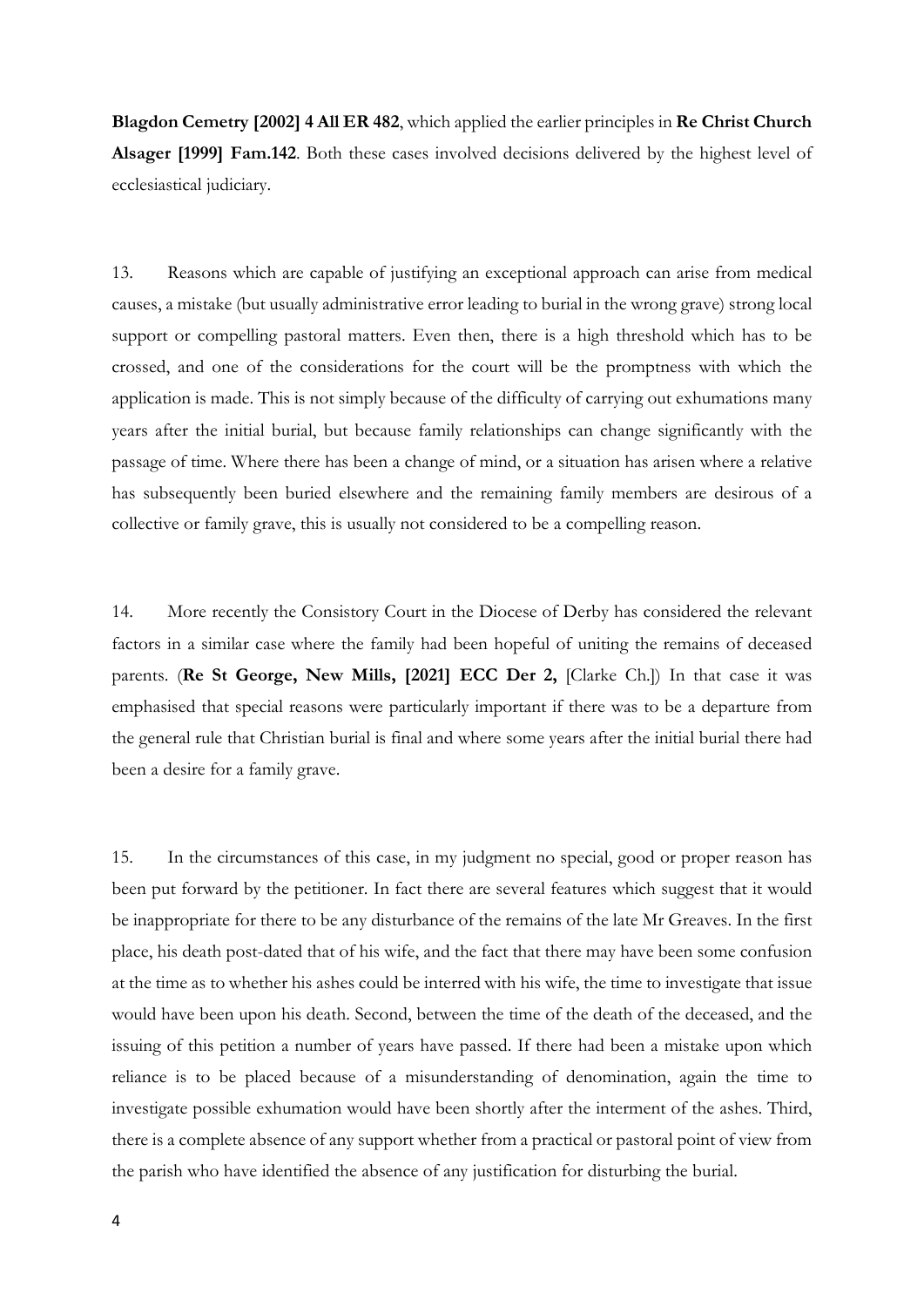**Blagdon Cemetry [2002] 4 All ER 482**, which applied the earlier principles in **Re Christ Church Alsager [1999] Fam.142**. Both these cases involved decisions delivered by the highest level of ecclesiastical judiciary.

13. Reasons which are capable of justifying an exceptional approach can arise from medical causes, a mistake (but usually administrative error leading to burial in the wrong grave) strong local support or compelling pastoral matters. Even then, there is a high threshold which has to be crossed, and one of the considerations for the court will be the promptness with which the application is made. This is not simply because of the difficulty of carrying out exhumations many years after the initial burial, but because family relationships can change significantly with the passage of time. Where there has been a change of mind, or a situation has arisen where a relative has subsequently been buried elsewhere and the remaining family members are desirous of a collective or family grave, this is usually not considered to be a compelling reason.

14. More recently the Consistory Court in the Diocese of Derby has considered the relevant factors in a similar case where the family had been hopeful of uniting the remains of deceased parents. (**Re St George, New Mills, [2021] ECC Der 2,** [Clarke Ch.]) In that case it was emphasised that special reasons were particularly important if there was to be a departure from the general rule that Christian burial is final and where some years after the initial burial there had been a desire for a family grave.

15. In the circumstances of this case, in my judgment no special, good or proper reason has been put forward by the petitioner. In fact there are several features which suggest that it would be inappropriate for there to be any disturbance of the remains of the late Mr Greaves. In the first place, his death post-dated that of his wife, and the fact that there may have been some confusion at the time as to whether his ashes could be interred with his wife, the time to investigate that issue would have been upon his death. Second, between the time of the death of the deceased, and the issuing of this petition a number of years have passed. If there had been a mistake upon which reliance is to be placed because of a misunderstanding of denomination, again the time to investigate possible exhumation would have been shortly after the interment of the ashes. Third, there is a complete absence of any support whether from a practical or pastoral point of view from the parish who have identified the absence of any justification for disturbing the burial.